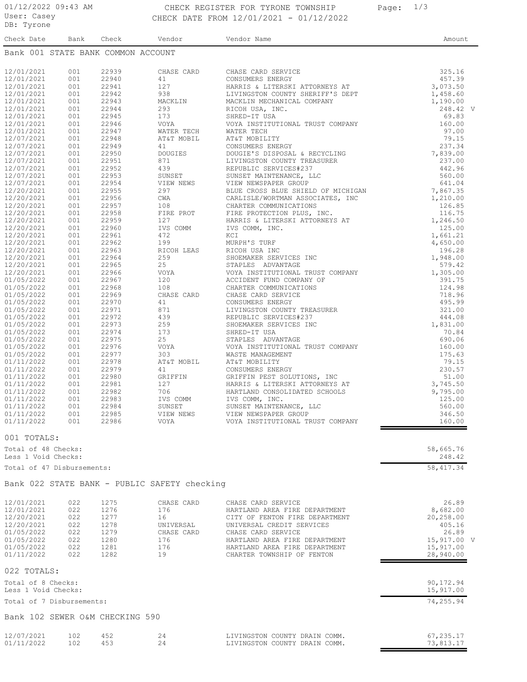### 01/12/2022 09:43 AM CHECK REGISTER FOR TYRONE TOWNSHIP Page: 1/3 CHECK DATE FROM 12/01/2021 - 01/12/2022

| pp. tłrone                         |            |                |                |             |        |
|------------------------------------|------------|----------------|----------------|-------------|--------|
| Check Date                         | Bank       | Check          | Vendor         | Vendor Name | Amount |
| Bank 001 STATE BANK COMMON ACCOUNT |            |                |                |             |        |
|                                    |            |                |                |             |        |
| 12/01/2021                         | 001        | 22939          | CHASE CARD     |             |        |
| 12/01/2021                         | 001        | 22940          | 41             |             |        |
| 12/01/2021                         | 001        | 22941          | 127            |             |        |
| 12/01/2021                         | 001        | 22942          | 938            |             |        |
| 12/01/2021                         | 001        | 22943          | MACKLIN        |             |        |
| 12/01/2021                         | 001        | 22944          | 293            |             |        |
| 12/01/2021                         | 001        | 22945          | 173            |             |        |
| 12/01/2021                         | 001        | 22946          | VOYA           |             |        |
| 12/01/2021                         | 001        | 22947          | WATER TECH     |             |        |
| 12/07/2021                         | 001        | 22948          | AT&T MOBIL     |             |        |
| 12/07/2021                         | 001        | 22949          | 41             |             |        |
| 12/07/2021                         | 001        | 22950          | <b>DOUGIES</b> |             |        |
| 12/07/2021                         | 001        | 22951          | 871            |             |        |
| 12/07/2021                         | 001        | 22952          | 439            |             |        |
| 12/07/2021                         | 001        | 22953          | SUNSET         |             |        |
| 12/07/2021                         | 001        | 22954          | VIEW NEWS      |             |        |
| 12/20/2021                         | 001        | 22955          | 297            |             |        |
| 12/20/2021                         | 001        | 22956          | CWA            |             |        |
| 12/20/2021                         | 001        | 22957          | 108            |             |        |
| 12/20/2021                         | 001        | 22958          | FIRE PROT      |             |        |
| 12/20/2021                         | 001        | 22959          | 127            |             |        |
| 12/20/2021                         | 001        | 22960          | IVS COMM       |             |        |
| 12/20/2021                         | 001        | 22961          | 472            |             |        |
| 12/20/2021                         | 001        | 22962          | 199            |             |        |
| 12/20/2021                         | 001        | 22963          | RICOH LEAS     |             |        |
| 12/20/2021                         | 001        | 22964          | 259            |             |        |
| 12/20/2021                         | 001        | 22965          | 25             |             |        |
| 12/20/2021                         | 001        | 22966          | VOYA           |             |        |
| 01/05/2022                         | 001        | 22967          | 120            |             |        |
| 01/05/2022                         | 001        | 22968          | 108            |             |        |
| 01/05/2022                         | 001        | 22969          | CHASE CARD     |             |        |
| 01/05/2022                         | 001        | 22970          | 41             |             |        |
| 01/05/2022                         | 001        | 22971          | 871            |             |        |
| 01/05/2022                         | 001        | 22972          | 439            |             |        |
| 01/05/2022                         | 001        | 22973          | 259            |             |        |
| 01/05/2022                         | 001        | 22974          | 173            |             |        |
| 01/05/2022                         | 001        | 22975          | 25             |             |        |
| 01/05/2022                         | 001<br>001 | 22976<br>22977 | VOYA<br>303    |             |        |
| 01/05/2022                         | 001        |                | AT&T MOBIL     |             |        |
| 01/11/2022                         |            | 22978          |                |             |        |
| 01/11/2022<br>01/11/2022           | 001<br>001 | 22979<br>22980 | 41<br>GRIFFIN  |             |        |
| 01/11/2022                         | 001        | 22981          | 127            |             |        |
| 01/11/2022                         | 001        | 22982          | 706            |             |        |
| 01/11/2022                         | 001        | 22983          | IVS COMM       |             |        |
| 01/11/2022                         | 001        | 22984          | SUNSET         |             |        |
| 01/11/2022                         | 001        | 22985          | VIEW NEWS      |             |        |
|                                    | 001        | 22986          | VOYA           |             |        |
| 01/11/2022                         |            |                |                |             |        |

#### 001 TOTALS:

|            | Total of 48 Checks:<br>Less 1 Void Checks: |      |                                              |                                | 58,665.76<br>248.42 |  |
|------------|--------------------------------------------|------|----------------------------------------------|--------------------------------|---------------------|--|
|            | Total of 47 Disbursements:                 |      |                                              |                                | 58, 417.34          |  |
|            |                                            |      | Bank 022 STATE BANK - PUBLIC SAFETY checking |                                |                     |  |
| 12/01/2021 | 022                                        | 1275 | CHASE CARD                                   | CHASE CARD SERVICE             | 26.89               |  |
| 12/01/2021 | 022                                        | 1276 | 176                                          | HARTLAND AREA FIRE DEPARTMENT  | 8,682.00            |  |
| 12/20/2021 | 022                                        | 1277 | 16                                           | CITY OF FENTON FIRE DEPARTMENT | 20,258.00           |  |
| 12/20/2021 | 022                                        | 1278 | UNIVERSAL                                    | UNIVERSAL CREDIT SERVICES      | 405.16              |  |
| 01/05/2022 | 022                                        | 1279 | CHASE CARD                                   | CHASE CARD SERVICE             | 26.89               |  |
| 01/05/2022 | 022                                        | 1280 | 176                                          | HARTLAND AREA FIRE DEPARTMENT  | 15,917.00 V         |  |
| 01/05/2022 | 022                                        | 1281 | 176                                          | HARTLAND AREA FIRE DEPARTMENT  | 15,917.00           |  |
| 01/11/2022 | 022                                        | 1282 | 19                                           | CHARTER TOWNSHIP OF FENTON     | 28,940.00           |  |

VOYA INSTITUTIONAL TRUST COMPANY 160.00

| 022 TOTALS:                               |                        |
|-------------------------------------------|------------------------|
| Total of 8 Checks:<br>Less 1 Void Checks: | 90,172.94<br>15,917.00 |
| Total of 7 Disbursements:                 | 74,255.94              |

# Bank 102 SEWER O&M CHECKING 590

|  | 12/07/2021<br>01/11/2022 | 102<br>102 | 452 |  | LIVINGSTON COUNTY DRAIN COMM.<br>LIVINGSTON COUNTY DRAIN COMM. | 67,235.17<br>73,813.17 |
|--|--------------------------|------------|-----|--|----------------------------------------------------------------|------------------------|
|--|--------------------------|------------|-----|--|----------------------------------------------------------------|------------------------|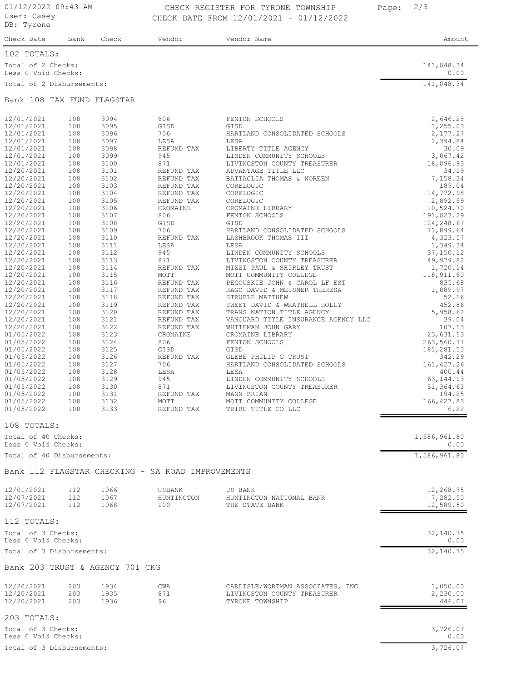## 01/12/2022 09:43 AM CHECK REGISTER FOR TYRONE TOWNSHIP Page: 2/3 CHECK DATE FROM 12/01/2021 - 01/12/2022

| Check Date                                | Bank | Check | Vendor | Vendor Name | Amount             |
|-------------------------------------------|------|-------|--------|-------------|--------------------|
| 102 TOTALS:                               |      |       |        |             |                    |
| Total of 2 Checks:<br>Less 0 Void Checks: |      |       |        |             | 141,048.34<br>0.00 |
| Total of 2 Disbursements:                 |      |       |        |             | 141,048.34         |

#### Bank 108 TAX FUND FLAGSTAR

| 12/01/2021                      | 108        | 3094         | 806                                               | FENTON SCHOOLS                                            | 2,646.28          |
|---------------------------------|------------|--------------|---------------------------------------------------|-----------------------------------------------------------|-------------------|
| 12/01/2021                      | 108        | 3095         | GISD                                              | GISD                                                      | 1,255.03          |
| 12/01/2021                      | 108        | 3096         | 706                                               | HARTLAND CONSOLIDATED SCHOOLS                             | 2,177.27          |
| 12/01/2021                      | 108        | 3097         | LESA                                              | LESA                                                      | 2,394.84          |
| 12/01/2021<br>12/01/2021        | 108<br>108 | 3098<br>3099 | REFUND TAX<br>945                                 | LIBERTY TITLE AGENCY<br>LINDEN COMMUNITY SCHOOLS          | 30.09<br>3,067.42 |
| 12/01/2021                      | 108        | 3100         | 871                                               | LIVINGSTON COUNTY TREASURER                               | 18,096.93         |
| 12/20/2021                      | 108        | 3101         | REFUND TAX                                        | ADVANTAGE TITLE LLC                                       | 34.19             |
| 12/20/2021                      | 108        | 3102         | REFUND TAX                                        | BATTAGLIA THOMAS & NOREEN                                 | 7,158.34          |
| 12/20/2021                      | 108        | 3103         | REFUND TAX                                        | CORELOGIC                                                 | 189.04            |
| 12/20/2021                      | 108        | 3104         | REFUND TAX                                        | CORELOGIC                                                 | 14,772.98         |
| 12/20/2021                      | 108        | 3105         | REFUND TAX                                        | CORELOGIC                                                 | 2,892.59          |
| 12/20/2021                      | 108        | 3106         | CROMAINE                                          | CROMAINE LIBRARY                                          | 10,524.70         |
| 12/20/2021                      | 108        | 3107         | 806                                               | FENTON SCHOOLS                                            | 191,023.29        |
| 12/20/2021                      | 108        | 3108         | GISD                                              | GISD                                                      | 124,248.67        |
| 12/20/2021                      | 108        | 3109         | 706                                               | HARTLAND CONSOLIDATED SCHOOLS                             | 71,899.64         |
| 12/20/2021                      | 108        | 3110         | REFUND TAX                                        | LASHBROOK THOMAS III                                      | 4,323.57          |
| 12/20/2021                      | 108        | 3111         | LESA                                              | LESA                                                      | 1,349.34          |
| 12/20/2021                      | 108        | 3112         | 945                                               | LINDEN COMMUNITY SCHOOLS                                  | 37,150.12         |
| 12/20/2021                      | 108        | 3113         | 871                                               | LIVINGSTON COUNTY TREASURER                               | 49,979.82         |
| 12/20/2021                      | 108        | 3114         | REFUND TAX                                        | MIZZI PAUL & SHIRLEY TRUST                                | 1,720.14          |
| 12/20/2021                      | 108        | 3115         | MOTT                                              | MOTT COMMUNITY COLLEGE                                    | 118,911.60        |
| 12/20/2021                      | 108        | 3116         | REFUND TAX                                        | PEGOUSKIE JOHN & CAROL LF EST                             | 835.68            |
| 12/20/2021                      | 108        | 3117         | REFUND TAX                                        | RAGO DAVID & MEISNER THERESA                              | 1,889.97          |
| 12/20/2021                      | 108        | 3118         | REFUND TAX                                        | STRUBLE MATTHEW                                           | 52.16             |
| 12/20/2021                      | 108        | 3119         | REFUND TAX                                        | SWEET DAVID & WRATHELL HOLLY                              | 452.86            |
| 12/20/2021                      | 108        | 3120         | REFUND TAX                                        | TRANS NATION TITLE AGENCY                                 | 5,958.62          |
| 12/20/2021                      | 108<br>108 | 3121<br>3122 | REFUND TAX                                        | VANGUARD TITLE INSURANCE AGENCY LLC<br>WHITEMAN JOHN GARY | 39.04<br>107.13   |
| 12/20/2021<br>01/05/2022        | 108        | 3123         | REFUND TAX<br>CROMAINE                            | CROMAINE LIBRARY                                          | 23,631.13         |
| 01/05/2022                      | 108        | 3124         | 806                                               | FENTON SCHOOLS                                            | 263,560.77        |
| 01/05/2022                      | 108        | 3125         | GISD                                              | GISD                                                      | 181,281.50        |
| 01/05/2022                      | 108        | 3126         | REFUND TAX                                        | GLEBE PHILIP G TRUST                                      | 342.29            |
| 01/05/2022                      | 108        | 3127         | 706                                               | HARTLAND CONSOLIDATED SCHOOLS                             | 161, 427.26       |
| 01/05/2022                      | 108        | 3128         | LESA                                              | LESA                                                      | 400.44            |
| 01/05/2022                      | 108        | 3129         | 945                                               | LINDEN COMMUNITY SCHOOLS                                  | 63, 144. 13       |
| 01/05/2022                      | 108        | 3130         | 871                                               | LIVINGSTON COUNTY TREASURER                               | 51,364.63         |
| 01/05/2022                      | 108        | 3131         | REFUND TAX                                        | MANN BRIAN                                                | 194.25            |
| 01/05/2022                      | 108        | 3132         | MOTT                                              | MOTT COMMUNITY COLLEGE                                    | 166, 427.83       |
| 01/05/2022                      | 108        | 3133         | REFUND TAX                                        | TRIBE TITLE CO LLC                                        | 6.22              |
| 108 TOTALS:                     |            |              |                                                   |                                                           |                   |
| Total of 40 Checks:             |            |              |                                                   |                                                           | 1,586,961.80      |
| Less 0 Void Checks:             |            |              |                                                   |                                                           | 0.00              |
| Total of 40 Disbursements:      |            |              |                                                   |                                                           | 1,586,961.80      |
|                                 |            |              | Bank 112 FLAGSTAR CHECKING - SA ROAD IMPROVEMENTS |                                                           |                   |
|                                 |            |              |                                                   |                                                           |                   |
| 12/01/2021                      | 112        | 1066         | USBANK                                            | US BANK                                                   | 12,268.75         |
| 12/07/2021                      | 112        | 1067         | HUNTINGTON                                        | HUNTINGTON NATIONAL BANK                                  | 7,282.50          |
| 12/07/2021                      | 112        | 1068         | 100                                               | THE STATE BANK                                            | 12,589.50         |
| 112 TOTALS:                     |            |              |                                                   |                                                           |                   |
| Total of 3 Checks:              |            |              |                                                   |                                                           | 32,140.75         |
| Less 0 Void Checks:             |            |              |                                                   |                                                           | 0.00              |
| Total of 3 Disbursements:       |            |              |                                                   |                                                           | 32,140.75         |
| Bank 203 TRUST & AGENCY 701 CKG |            |              |                                                   |                                                           |                   |
| 12/20/2021                      | 203        | 1934         | CWA                                               | CARLISLE/WORTMAN ASSOCIATES, INC                          | 1,050.00          |
| 12/20/2021                      | 203        | 1935         | 871                                               | LIVINGSTON COUNTY TREASURER                               | 2,230.00          |
| 12/20/2021                      | 203        | 1936         | 96                                                | TYRONE TOWNSHIP                                           | 446.07            |
|                                 |            |              |                                                   |                                                           |                   |

203 TOTALS:

Less 0 Void Checks: 0.00 Total of 3 Checks: 3,726.07

Total of 3 Disbursements: 3,726.07